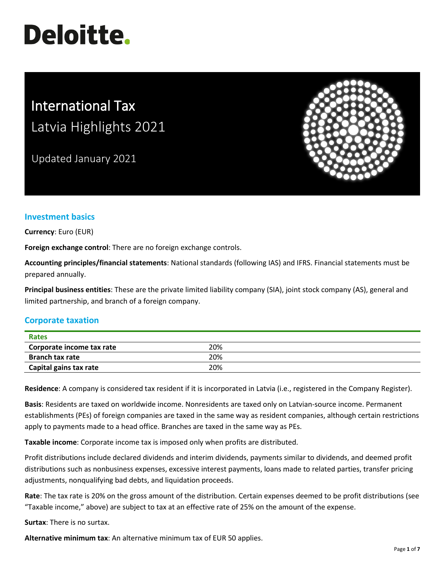# **Deloitte.**

# International Tax Latvia Highlights 2021

Updated January 2021



## **Investment basics**

**Currency**: Euro (EUR)

**Foreign exchange control**: There are no foreign exchange controls.

**Accounting principles/financial statements**: National standards (following IAS) and IFRS. Financial statements must be prepared annually.

**Principal business entities**: These are the private limited liability company (SIA), joint stock company (AS), general and limited partnership, and branch of a foreign company.

## **Corporate taxation**

| <b>Rates</b>              |     |  |
|---------------------------|-----|--|
| Corporate income tax rate | 20% |  |
| <b>Branch tax rate</b>    | 20% |  |
| Capital gains tax rate    | 20% |  |

**Residence**: A company is considered tax resident if it is incorporated in Latvia (i.e., registered in the Company Register).

**Basis**: Residents are taxed on worldwide income. Nonresidents are taxed only on Latvian-source income. Permanent establishments (PEs) of foreign companies are taxed in the same way as resident companies, although certain restrictions apply to payments made to a head office. Branches are taxed in the same way as PEs.

**Taxable income**: Corporate income tax is imposed only when profits are distributed.

Profit distributions include declared dividends and interim dividends, payments similar to dividends, and deemed profit distributions such as nonbusiness expenses, excessive interest payments, loans made to related parties, transfer pricing adjustments, nonqualifying bad debts, and liquidation proceeds.

**Rate**: The tax rate is 20% on the gross amount of the distribution. Certain expenses deemed to be profit distributions (see "Taxable income," above) are subject to tax at an effective rate of 25% on the amount of the expense.

**Surtax**: There is no surtax.

**Alternative minimum tax**: An alternative minimum tax of EUR 50 applies.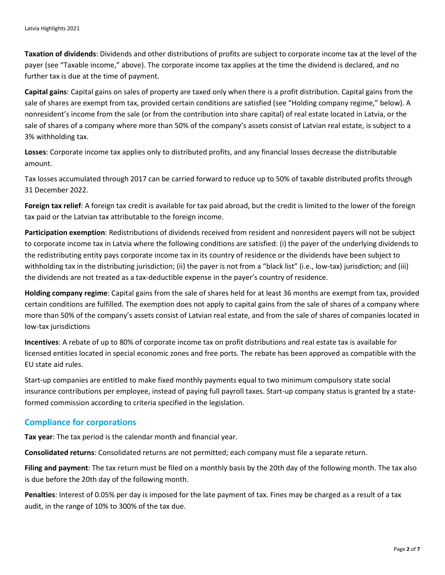**Taxation of dividends**: Dividends and other distributions of profits are subject to corporate income tax at the level of the payer (see "Taxable income," above). The corporate income tax applies at the time the dividend is declared, and no further tax is due at the time of payment.

**Capital gains**: Capital gains on sales of property are taxed only when there is a profit distribution. Capital gains from the sale of shares are exempt from tax, provided certain conditions are satisfied (see "Holding company regime," below). A nonresident's income from the sale (or from the contribution into share capital) of real estate located in Latvia, or the sale of shares of a company where more than 50% of the company's assets consist of Latvian real estate, is subject to a 3% withholding tax.

**Losses**: Corporate income tax applies only to distributed profits, and any financial losses decrease the distributable amount.

Tax losses accumulated through 2017 can be carried forward to reduce up to 50% of taxable distributed profits through 31 December 2022.

**Foreign tax relief**: A foreign tax credit is available for tax paid abroad, but the credit is limited to the lower of the foreign tax paid or the Latvian tax attributable to the foreign income.

**Participation exemption**: Redistributions of dividends received from resident and nonresident payers will not be subject to corporate income tax in Latvia where the following conditions are satisfied: (i) the payer of the underlying dividends to the redistributing entity pays corporate income tax in its country of residence or the dividends have been subject to withholding tax in the distributing jurisdiction; (ii) the payer is not from a "black list" (i.e., low-tax) jurisdiction; and (iii) the dividends are not treated as a tax-deductible expense in the payer's country of residence.

**Holding company regime**: Capital gains from the sale of shares held for at least 36 months are exempt from tax, provided certain conditions are fulfilled. The exemption does not apply to capital gains from the sale of shares of a company where more than 50% of the company's assets consist of Latvian real estate, and from the sale of shares of companies located in low-tax jurisdictions

**Incentives**: A rebate of up to 80% of corporate income tax on profit distributions and real estate tax is available for licensed entities located in special economic zones and free ports. The rebate has been approved as compatible with the EU state aid rules.

Start-up companies are entitled to make fixed monthly payments equal to two minimum compulsory state social insurance contributions per employee, instead of paying full payroll taxes. Start-up company status is granted by a stateformed commission according to criteria specified in the legislation.

#### **Compliance for corporations**

**Tax year**: The tax period is the calendar month and financial year.

**Consolidated returns**: Consolidated returns are not permitted; each company must file a separate return.

**Filing and payment**: The tax return must be filed on a monthly basis by the 20th day of the following month. The tax also is due before the 20th day of the following month.

**Penalties**: Interest of 0.05% per day is imposed for the late payment of tax. Fines may be charged as a result of a tax audit, in the range of 10% to 300% of the tax due.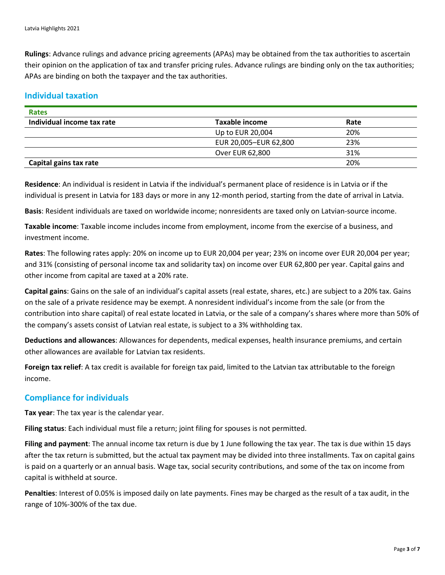**Rulings**: Advance rulings and advance pricing agreements (APAs) may be obtained from the tax authorities to ascertain their opinion on the application of tax and transfer pricing rules. Advance rulings are binding only on the tax authorities; APAs are binding on both the taxpayer and the tax authorities.

#### **Individual taxation**

| Rates                      |                       |      |
|----------------------------|-----------------------|------|
| Individual income tax rate | Taxable income        | Rate |
|                            | Up to EUR 20,004      | 20%  |
|                            | EUR 20,005-EUR 62,800 | 23%  |
|                            | Over EUR 62,800       | 31%  |
| Capital gains tax rate     |                       | 20%  |

**Residence**: An individual is resident in Latvia if the individual's permanent place of residence is in Latvia or if the individual is present in Latvia for 183 days or more in any 12-month period, starting from the date of arrival in Latvia.

**Basis**: Resident individuals are taxed on worldwide income; nonresidents are taxed only on Latvian-source income.

**Taxable income**: Taxable income includes income from employment, income from the exercise of a business, and investment income.

**Rates**: The following rates apply: 20% on income up to EUR 20,004 per year; 23% on income over EUR 20,004 per year; and 31% (consisting of personal income tax and solidarity tax) on income over EUR 62,800 per year. Capital gains and other income from capital are taxed at a 20% rate.

**Capital gains**: Gains on the sale of an individual's capital assets (real estate, shares, etc.) are subject to a 20% tax. Gains on the sale of a private residence may be exempt. A nonresident individual's income from the sale (or from the contribution into share capital) of real estate located in Latvia, or the sale of a company's shares where more than 50% of the company's assets consist of Latvian real estate, is subject to a 3% withholding tax.

**Deductions and allowances**: Allowances for dependents, medical expenses, health insurance premiums, and certain other allowances are available for Latvian tax residents.

**Foreign tax relief**: A tax credit is available for foreign tax paid, limited to the Latvian tax attributable to the foreign income.

#### **Compliance for individuals**

**Tax year**: The tax year is the calendar year.

**Filing status**: Each individual must file a return; joint filing for spouses is not permitted.

**Filing and payment**: The annual income tax return is due by 1 June following the tax year. The tax is due within 15 days after the tax return is submitted, but the actual tax payment may be divided into three installments. Tax on capital gains is paid on a quarterly or an annual basis. Wage tax, social security contributions, and some of the tax on income from capital is withheld at source.

**Penalties**: Interest of 0.05% is imposed daily on late payments. Fines may be charged as the result of a tax audit, in the range of 10%-300% of the tax due.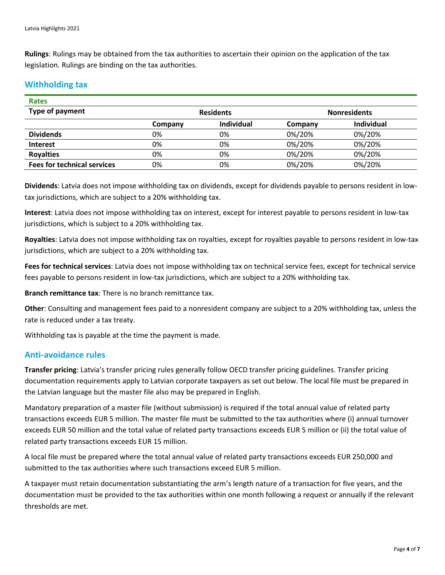**Rulings**: Rulings may be obtained from the tax authorities to ascertain their opinion on the application of the tax legislation. Rulings are binding on the tax authorities.

#### **Withholding tax**

| <b>Rates</b>                       |                  |                   |                     |                   |
|------------------------------------|------------------|-------------------|---------------------|-------------------|
| Type of payment                    | <b>Residents</b> |                   | <b>Nonresidents</b> |                   |
|                                    | Company          | <b>Individual</b> | Company             | <b>Individual</b> |
| <b>Dividends</b>                   | 0%               | 0%                | 0%/20%              | 0%/20%            |
| <b>Interest</b>                    | 0%               | 0%                | 0%/20%              | 0%/20%            |
| <b>Royalties</b>                   | 0%               | 0%                | 0%/20%              | 0%/20%            |
| <b>Fees for technical services</b> | 0%               | 0%                | 0%/20%              | 0%/20%            |

**Dividends**: Latvia does not impose withholding tax on dividends, except for dividends payable to persons resident in lowtax jurisdictions, which are subject to a 20% withholding tax.

**Interest**: Latvia does not impose withholding tax on interest, except for interest payable to persons resident in low-tax jurisdictions, which is subject to a 20% withholding tax.

**Royalties**: Latvia does not impose withholding tax on royalties, except for royalties payable to persons resident in low-tax jurisdictions, which are subject to a 20% withholding tax.

**Fees for technical services**: Latvia does not impose withholding tax on technical service fees, except for technical service fees payable to persons resident in low-tax jurisdictions, which are subject to a 20% withholding tax.

**Branch remittance tax**: There is no branch remittance tax.

**Other**: Consulting and management fees paid to a nonresident company are subject to a 20% withholding tax, unless the rate is reduced under a tax treaty.

Withholding tax is payable at the time the payment is made.

#### **Anti-avoidance rules**

**Transfer pricing**: Latvia's transfer pricing rules generally follow OECD transfer pricing guidelines. Transfer pricing documentation requirements apply to Latvian corporate taxpayers as set out below. The local file must be prepared in the Latvian language but the master file also may be prepared in English.

Mandatory preparation of a master file (without submission) is required if the total annual value of related party transactions exceeds EUR 5 million. The master file must be submitted to the tax authorities where (i) annual turnover exceeds EUR 50 million and the total value of related party transactions exceeds EUR 5 million or (ii) the total value of related party transactions exceeds EUR 15 million.

A local file must be prepared where the total annual value of related party transactions exceeds EUR 250,000 and submitted to the tax authorities where such transactions exceed EUR 5 million.

A taxpayer must retain documentation substantiating the arm's length nature of a transaction for five years, and the documentation must be provided to the tax authorities within one month following a request or annually if the relevant thresholds are met.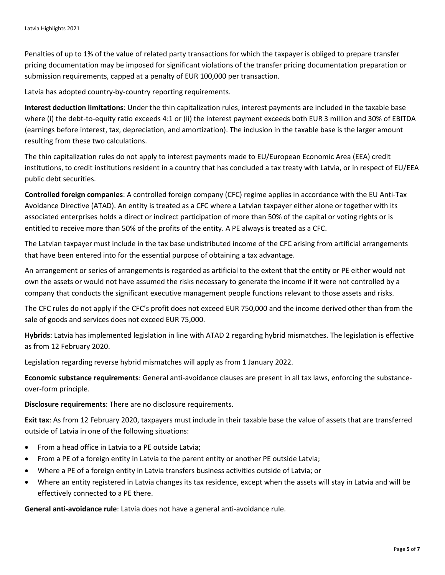Penalties of up to 1% of the value of related party transactions for which the taxpayer is obliged to prepare transfer pricing documentation may be imposed for significant violations of the transfer pricing documentation preparation or submission requirements, capped at a penalty of EUR 100,000 per transaction.

Latvia has adopted country-by-country reporting requirements.

**Interest deduction limitations**: Under the thin capitalization rules, interest payments are included in the taxable base where (i) the debt-to-equity ratio exceeds 4:1 or (ii) the interest payment exceeds both EUR 3 million and 30% of EBITDA (earnings before interest, tax, depreciation, and amortization). The inclusion in the taxable base is the larger amount resulting from these two calculations.

The thin capitalization rules do not apply to interest payments made to EU/European Economic Area (EEA) credit institutions, to credit institutions resident in a country that has concluded a tax treaty with Latvia, or in respect of EU/EEA public debt securities.

**Controlled foreign companies**: A controlled foreign company (CFC) regime applies in accordance with the EU Anti-Tax Avoidance Directive (ATAD). An entity is treated as a CFC where a Latvian taxpayer either alone or together with its associated enterprises holds a direct or indirect participation of more than 50% of the capital or voting rights or is entitled to receive more than 50% of the profits of the entity. A PE always is treated as a CFC.

The Latvian taxpayer must include in the tax base undistributed income of the CFC arising from artificial arrangements that have been entered into for the essential purpose of obtaining a tax advantage.

An arrangement or series of arrangements is regarded as artificial to the extent that the entity or PE either would not own the assets or would not have assumed the risks necessary to generate the income if it were not controlled by a company that conducts the significant executive management people functions relevant to those assets and risks.

The CFC rules do not apply if the CFC's profit does not exceed EUR 750,000 and the income derived other than from the sale of goods and services does not exceed EUR 75,000.

**Hybrids**: Latvia has implemented legislation in line with ATAD 2 regarding hybrid mismatches. The legislation is effective as from 12 February 2020.

Legislation regarding reverse hybrid mismatches will apply as from 1 January 2022.

**Economic substance requirements**: General anti-avoidance clauses are present in all tax laws, enforcing the substanceover-form principle.

**Disclosure requirements**: There are no disclosure requirements.

**Exit tax**: As from 12 February 2020, taxpayers must include in their taxable base the value of assets that are transferred outside of Latvia in one of the following situations:

- From a head office in Latvia to a PE outside Latvia;
- From a PE of a foreign entity in Latvia to the parent entity or another PE outside Latvia;
- Where a PE of a foreign entity in Latvia transfers business activities outside of Latvia; or
- Where an entity registered in Latvia changes its tax residence, except when the assets will stay in Latvia and will be effectively connected to a PE there.

**General anti-avoidance rule**: Latvia does not have a general anti-avoidance rule.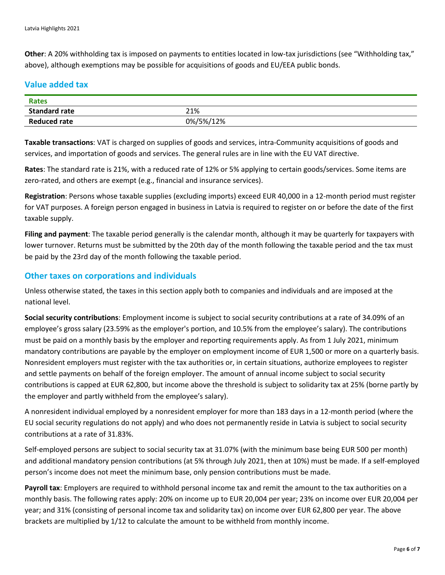**Other**: A 20% withholding tax is imposed on payments to entities located in low-tax jurisdictions (see "Withholding tax," above), although exemptions may be possible for acquisitions of goods and EU/EEA public bonds.

#### **Value added tax**

| <b>Rates</b>         |           |
|----------------------|-----------|
| <b>Standard rate</b> | 21%       |
| <b>Reduced rate</b>  | 0%/5%/12% |

**Taxable transactions**: VAT is charged on supplies of goods and services, intra-Community acquisitions of goods and services, and importation of goods and services. The general rules are in line with the EU VAT directive.

**Rates**: The standard rate is 21%, with a reduced rate of 12% or 5% applying to certain goods/services. Some items are zero-rated, and others are exempt (e.g., financial and insurance services).

**Registration**: Persons whose taxable supplies (excluding imports) exceed EUR 40,000 in a 12-month period must register for VAT purposes. A foreign person engaged in business in Latvia is required to register on or before the date of the first taxable supply.

**Filing and payment**: The taxable period generally is the calendar month, although it may be quarterly for taxpayers with lower turnover. Returns must be submitted by the 20th day of the month following the taxable period and the tax must be paid by the 23rd day of the month following the taxable period.

#### **Other taxes on corporations and individuals**

Unless otherwise stated, the taxes in this section apply both to companies and individuals and are imposed at the national level.

**Social security contributions**: Employment income is subject to social security contributions at a rate of 34.09% of an employee's gross salary (23.59% as the employer's portion, and 10.5% from the employee's salary). The contributions must be paid on a monthly basis by the employer and reporting requirements apply. As from 1 July 2021, minimum mandatory contributions are payable by the employer on employment income of EUR 1,500 or more on a quarterly basis. Nonresident employers must register with the tax authorities or, in certain situations, authorize employees to register and settle payments on behalf of the foreign employer. The amount of annual income subject to social security contributions is capped at EUR 62,800, but income above the threshold is subject to solidarity tax at 25% (borne partly by the employer and partly withheld from the employee's salary).

A nonresident individual employed by a nonresident employer for more than 183 days in a 12-month period (where the EU social security regulations do not apply) and who does not permanently reside in Latvia is subject to social security contributions at a rate of 31.83%.

Self-employed persons are subject to social security tax at 31.07% (with the minimum base being EUR 500 per month) and additional mandatory pension contributions (at 5% through July 2021, then at 10%) must be made. If a self-employed person's income does not meet the minimum base, only pension contributions must be made.

**Payroll tax**: Employers are required to withhold personal income tax and remit the amount to the tax authorities on a monthly basis. The following rates apply: 20% on income up to EUR 20,004 per year; 23% on income over EUR 20,004 per year; and 31% (consisting of personal income tax and solidarity tax) on income over EUR 62,800 per year. The above brackets are multiplied by 1/12 to calculate the amount to be withheld from monthly income.